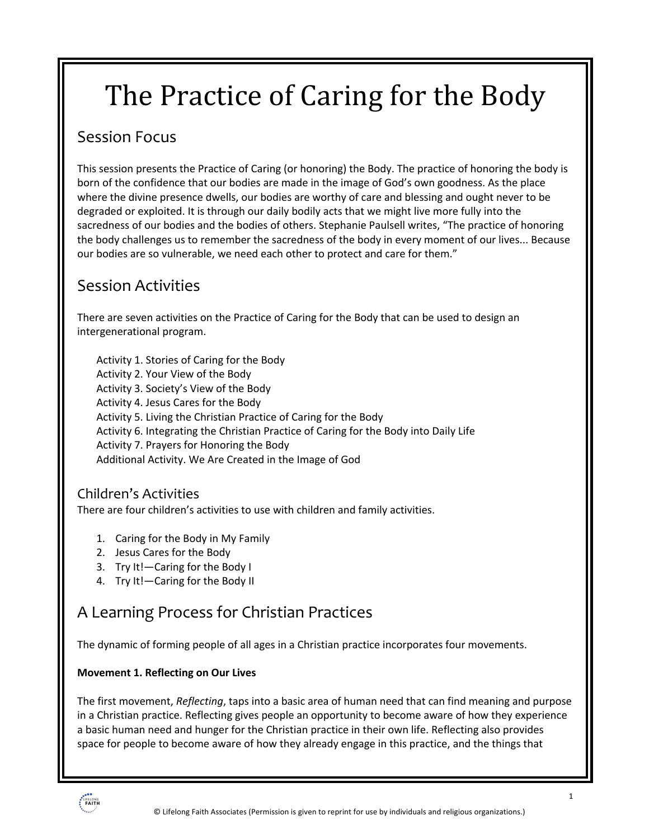# The Practice of Caring for the Body

## Session Focus

This session presents the Practice of Caring (or honoring) the Body. The practice of honoring the body is born of the confidence that our bodies are made in the image of God's own goodness. As the place where the divine presence dwells, our bodies are worthy of care and blessing and ought never to be degraded or exploited. It is through our daily bodily acts that we might live more fully into the sacredness of our bodies and the bodies of others. Stephanie Paulsell writes, "The practice of honoring the body challenges us to remember the sacredness of the body in every moment of our lives... Because our bodies are so vulnerable, we need each other to protect and care for them."

## Session Activities

There are seven activities on the Practice of Caring for the Body that can be used to design an intergenerational program.

Activity 1. Stories of Caring for the Body Activity 2. Your View of the Body Activity 3. Society's View of the Body Activity 4. Jesus Cares for the Body Activity 5. Living the Christian Practice of Caring for the Body Activity 6. Integrating the Christian Practice of Caring for the Body into Daily Life

Activity 7. Prayers for Honoring the Body

Additional Activity. We Are Created in the Image of God

### Children's Activities

There are four children's activities to use with children and family activities.

- 1. Caring for the Body in My Family
- 2. Jesus Cares for the Body
- 3. Try It!—Caring for the Body I
- 4. Try It!—Caring for the Body II

# A Learning Process for Christian Practices

The dynamic of forming people of all ages in a Christian practice incorporates four movements.

#### **Movement 1. Reflecting on Our Lives**

The first movement, *Reflecting*, taps into a basic area of human need that can find meaning and purpose in a Christian practice. Reflecting gives people an opportunity to become aware of how they experience a basic human need and hunger for the Christian practice in their own life. Reflecting also provides space for people to become aware of how they already engage in this practice, and the things that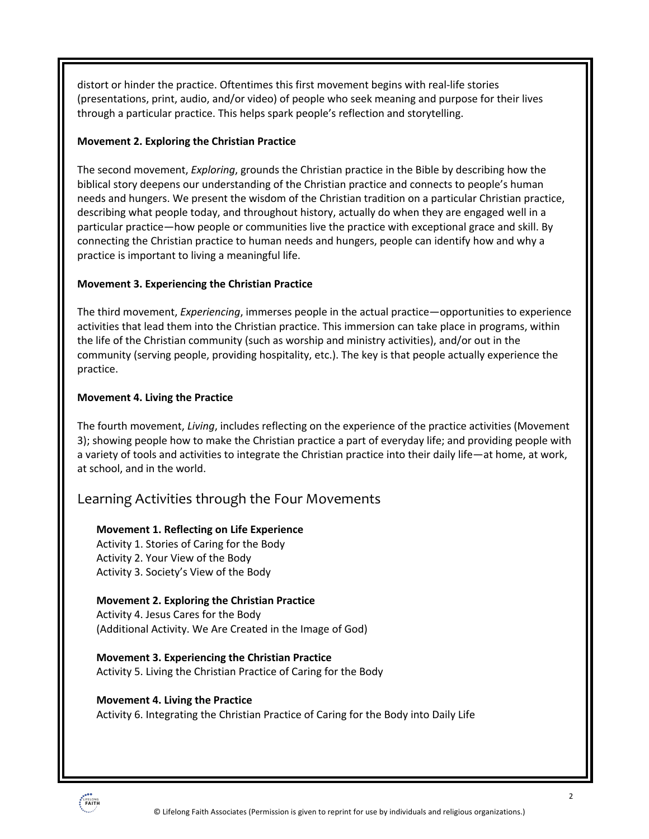distort or hinder the practice. Oftentimes this first movement begins with real-life stories (presentations, print, audio, and/or video) of people who seek meaning and purpose for their lives through a particular practice. This helps spark people's reflection and storytelling.

#### **Movement 2. Exploring the Christian Practice**

The second movement, *Exploring*, grounds the Christian practice in the Bible by describing how the biblical story deepens our understanding of the Christian practice and connects to people's human needs and hungers. We present the wisdom of the Christian tradition on a particular Christian practice, describing what people today, and throughout history, actually do when they are engaged well in a particular practice—how people or communities live the practice with exceptional grace and skill. By connecting the Christian practice to human needs and hungers, people can identify how and why a practice is important to living a meaningful life.

#### **Movement 3. Experiencing the Christian Practice**

The third movement, *Experiencing*, immerses people in the actual practice—opportunities to experience activities that lead them into the Christian practice. This immersion can take place in programs, within the life of the Christian community (such as worship and ministry activities), and/or out in the community (serving people, providing hospitality, etc.). The key is that people actually experience the practice.

#### **Movement 4. Living the Practice**

The fourth movement, *Living*, includes reflecting on the experience of the practice activities (Movement 3); showing people how to make the Christian practice a part of everyday life; and providing people with a variety of tools and activities to integrate the Christian practice into their daily life—at home, at work, at school, and in the world.

#### Learning Activities through the Four Movements

#### **Movement 1. Reflecting on Life Experience**

Activity 1. Stories of Caring for the Body Activity 2. Your View of the Body Activity 3. Society's View of the Body

#### **Movement 2. Exploring the Christian Practice**

Activity 4. Jesus Cares for the Body (Additional Activity. We Are Created in the Image of God)

**Movement 3. Experiencing the Christian Practice** Activity 5. Living the Christian Practice of Caring for the Body

#### **Movement 4. Living the Practice**  Activity 6. Integrating the Christian Practice of Caring for the Body into Daily Life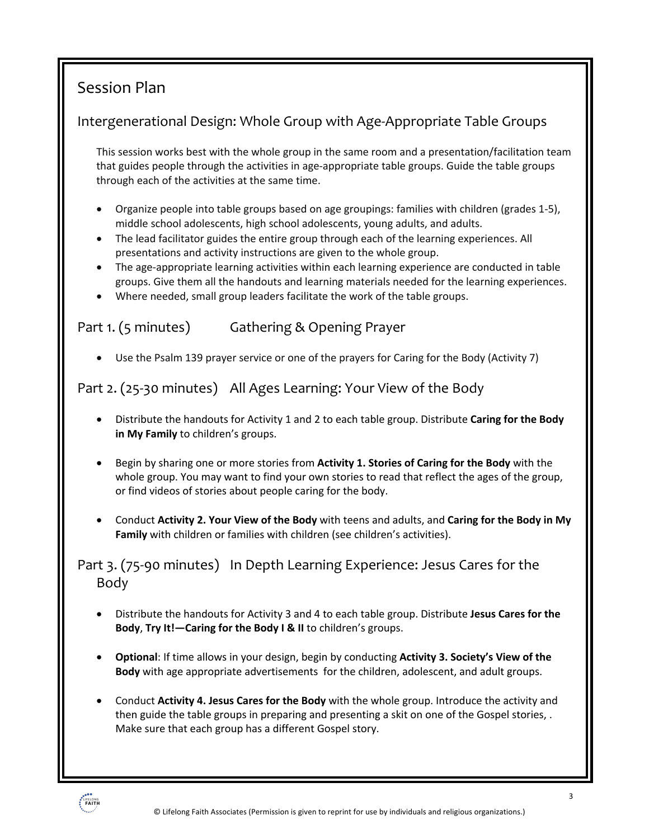# Session Plan

## Intergenerational Design: Whole Group with Age-Appropriate Table Groups

This session works best with the whole group in the same room and a presentation/facilitation team that guides people through the activities in age-appropriate table groups. Guide the table groups through each of the activities at the same time.

- Organize people into table groups based on age groupings: families with children (grades 1-5), middle school adolescents, high school adolescents, young adults, and adults.
- The lead facilitator guides the entire group through each of the learning experiences. All presentations and activity instructions are given to the whole group.
- The age-appropriate learning activities within each learning experience are conducted in table groups. Give them all the handouts and learning materials needed for the learning experiences.
- Where needed, small group leaders facilitate the work of the table groups.

## Part 1. (5 minutes) Gathering & Opening Prayer

• Use the Psalm 139 prayer service or one of the prayers for Caring for the Body (Activity 7)

## Part 2. (25-30 minutes) All Ages Learning: Your View of the Body

- Distribute the handouts for Activity 1 and 2 to each table group. Distribute **Caring for the Body in My Family** to children's groups.
- Begin by sharing one or more stories from **Activity 1. Stories of Caring for the Body** with the whole group. You may want to find your own stories to read that reflect the ages of the group, or find videos of stories about people caring for the body.
- Conduct **Activity 2. Your View of the Body** with teens and adults, and **Caring for the Body in My Family** with children or families with children (see children's activities).

Part 3. (75-90 minutes) In Depth Learning Experience: Jesus Cares for the Body

- Distribute the handouts for Activity 3 and 4 to each table group. Distribute **Jesus Cares for the Body**, **Try It!—Caring for the Body I & II** to children's groups.
- **Optional**: If time allows in your design, begin by conducting **Activity 3. Society's View of the Body** with age appropriate advertisements for the children, adolescent, and adult groups.
- Conduct **Activity 4. Jesus Cares for the Body** with the whole group. Introduce the activity and then guide the table groups in preparing and presenting a skit on one of the Gospel stories, . Make sure that each group has a different Gospel story.

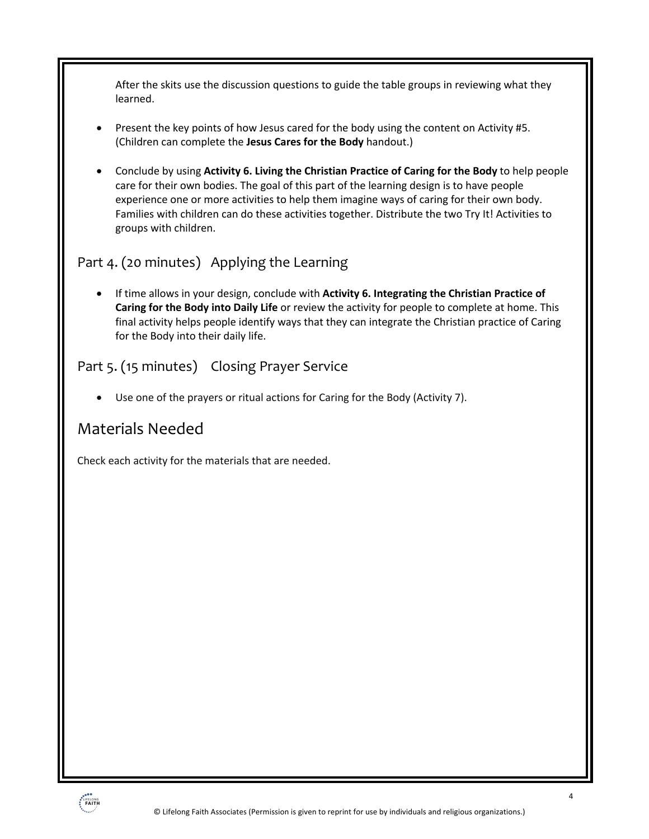After the skits use the discussion questions to guide the table groups in reviewing what they learned.

- Present the key points of how Jesus cared for the body using the content on Activity #5. (Children can complete the **Jesus Cares for the Body** handout.)
- Conclude by using **Activity 6. Living the Christian Practice of Caring for the Body** to help people care for their own bodies. The goal of this part of the learning design is to have people experience one or more activities to help them imagine ways of caring for their own body. Families with children can do these activities together. Distribute the two Try It! Activities to groups with children.

## Part 4. (20 minutes) Applying the Learning

• If time allows in your design, conclude with **Activity 6. Integrating the Christian Practice of Caring for the Body into Daily Life** or review the activity for people to complete at home. This final activity helps people identify ways that they can integrate the Christian practice of Caring for the Body into their daily life.

## Part 5. (15 minutes) Closing Prayer Service

Use one of the prayers or ritual actions for Caring for the Body (Activity 7).

## Materials Needed

Check each activity for the materials that are needed.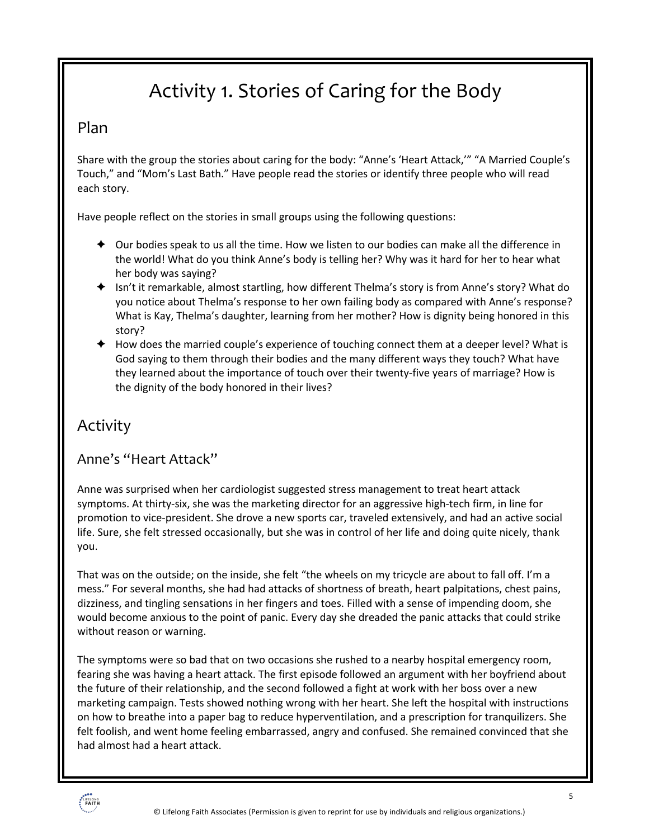# Activity 1. Stories of Caring for the Body

### Plan

Share with the group the stories about caring for the body: "Anne's 'Heart Attack,'" "A Married Couple's Touch," and "Mom's Last Bath." Have people read the stories or identify three people who will read each story.

Have people reflect on the stories in small groups using the following questions:

- $\triangleq$  Our bodies speak to us all the time. How we listen to our bodies can make all the difference in the world! What do you think Anne's body is telling her? Why was it hard for her to hear what her body was saying?
- $\blacklozenge$  Isn't it remarkable, almost startling, how different Thelma's story is from Anne's story? What do you notice about Thelma's response to her own failing body as compared with Anne's response? What is Kay, Thelma's daughter, learning from her mother? How is dignity being honored in this story?
- $\blacklozenge$  How does the married couple's experience of touching connect them at a deeper level? What is God saying to them through their bodies and the many different ways they touch? What have they learned about the importance of touch over their twenty-five years of marriage? How is the dignity of the body honored in their lives?

## Activity

### Anne's "Heart Attack"

Anne was surprised when her cardiologist suggested stress management to treat heart attack symptoms. At thirty-six, she was the marketing director for an aggressive high-tech firm, in line for promotion to vice-president. She drove a new sports car, traveled extensively, and had an active social life. Sure, she felt stressed occasionally, but she was in control of her life and doing quite nicely, thank you.

That was on the outside; on the inside, she felt "the wheels on my tricycle are about to fall off. I'm a mess." For several months, she had had attacks of shortness of breath, heart palpitations, chest pains, dizziness, and tingling sensations in her fingers and toes. Filled with a sense of impending doom, she would become anxious to the point of panic. Every day she dreaded the panic attacks that could strike without reason or warning.

The symptoms were so bad that on two occasions she rushed to a nearby hospital emergency room, fearing she was having a heart attack. The first episode followed an argument with her boyfriend about the future of their relationship, and the second followed a fight at work with her boss over a new marketing campaign. Tests showed nothing wrong with her heart. She left the hospital with instructions on how to breathe into a paper bag to reduce hyperventilation, and a prescription for tranquilizers. She felt foolish, and went home feeling embarrassed, angry and confused. She remained convinced that she had almost had a heart attack.

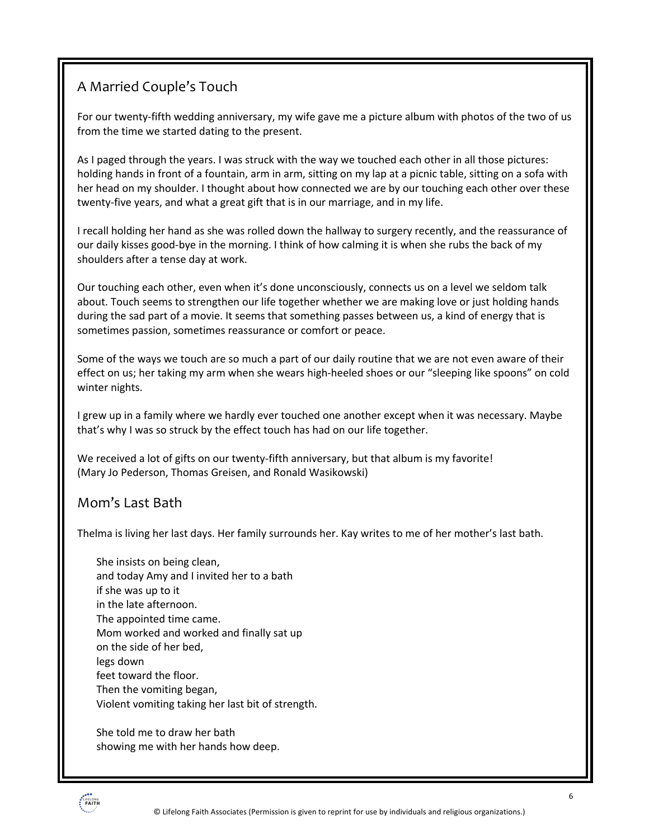## A Married Couple's Touch

For our twenty-fifth wedding anniversary, my wife gave me a picture album with photos of the two of us from the time we started dating to the present.

As I paged through the years. I was struck with the way we touched each other in all those pictures: holding hands in front of a fountain, arm in arm, sitting on my lap at a picnic table, sitting on a sofa with her head on my shoulder. I thought about how connected we are by our touching each other over these twenty-five years, and what a great gift that is in our marriage, and in my life.

I recall holding her hand as she was rolled down the hallway to surgery recently, and the reassurance of our daily kisses good-bye in the morning. I think of how calming it is when she rubs the back of my shoulders after a tense day at work.

Our touching each other, even when it's done unconsciously, connects us on a level we seldom talk about. Touch seems to strengthen our life together whether we are making love or just holding hands during the sad part of a movie. It seems that something passes between us, a kind of energy that is sometimes passion, sometimes reassurance or comfort or peace.

Some of the ways we touch are so much a part of our daily routine that we are not even aware of their effect on us; her taking my arm when she wears high-heeled shoes or our "sleeping like spoons" on cold winter nights.

I grew up in a family where we hardly ever touched one another except when it was necessary. Maybe that's why I was so struck by the effect touch has had on our life together.

We received a lot of gifts on our twenty-fifth anniversary, but that album is my favorite! (Mary Jo Pederson, Thomas Greisen, and Ronald Wasikowski)

### Mom's Last Bath

Thelma is living her last days. Her family surrounds her. Kay writes to me of her mother's last bath.

She insists on being clean, and today Amy and I invited her to a bath if she was up to it in the late afternoon. The appointed time came. Mom worked and worked and finally sat up on the side of her bed, legs down feet toward the floor. Then the vomiting began, Violent vomiting taking her last bit of strength.

She told me to draw her bath showing me with her hands how deep.

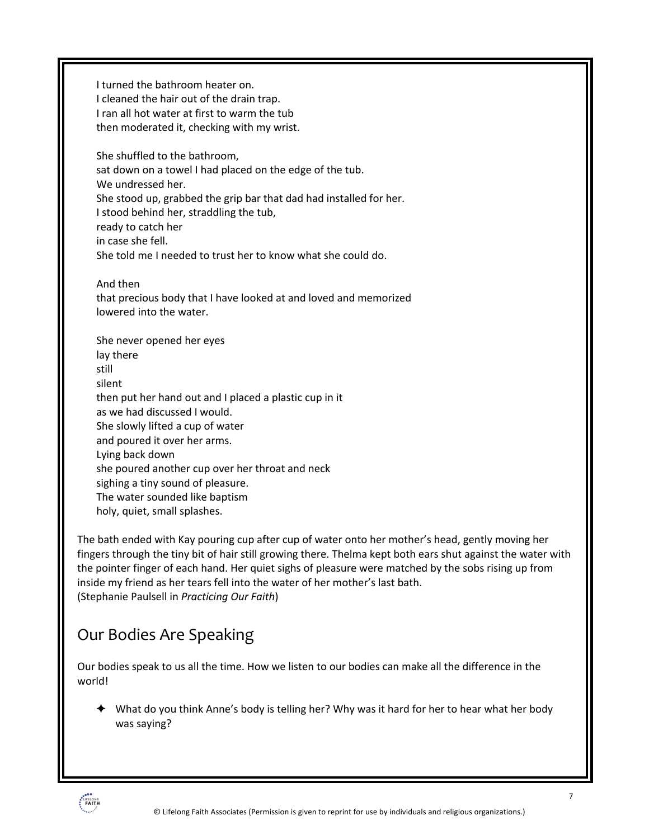I turned the bathroom heater on. I cleaned the hair out of the drain trap. I ran all hot water at first to warm the tub then moderated it, checking with my wrist. She shuffled to the bathroom, sat down on a towel I had placed on the edge of the tub. We undressed her. She stood up, grabbed the grip bar that dad had installed for her. I stood behind her, straddling the tub, ready to catch her in case she fell. She told me I needed to trust her to know what she could do. And then that precious body that I have looked at and loved and memorized lowered into the water. She never opened her eyes lay there still silent then put her hand out and I placed a plastic cup in it as we had discussed I would. She slowly lifted a cup of water and poured it over her arms. Lying back down she poured another cup over her throat and neck sighing a tiny sound of pleasure. The water sounded like baptism

holy, quiet, small splashes.

The bath ended with Kay pouring cup after cup of water onto her mother's head, gently moving her fingers through the tiny bit of hair still growing there. Thelma kept both ears shut against the water with the pointer finger of each hand. Her quiet sighs of pleasure were matched by the sobs rising up from inside my friend as her tears fell into the water of her mother's last bath. (Stephanie Paulsell in *Practicing Our Faith*)

# Our Bodies Are Speaking

Our bodies speak to us all the time. How we listen to our bodies can make all the difference in the world!

 $\blacklozenge$  What do you think Anne's body is telling her? Why was it hard for her to hear what her body was saying?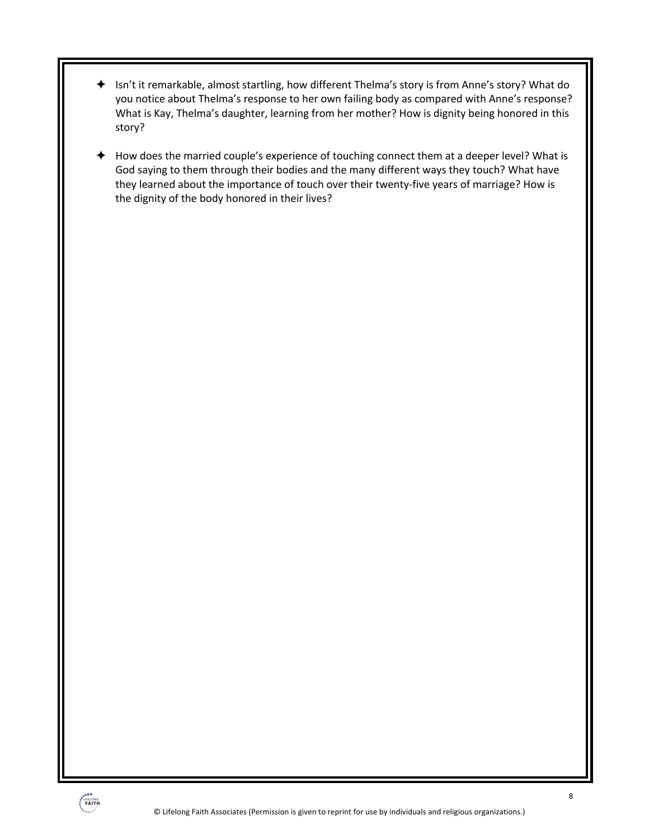- **→** Isn't it remarkable, almost startling, how different Thelma's story is from Anne's story? What do you notice about Thelma's response to her own failing body as compared with Anne's response? What is Kay, Thelma's daughter, learning from her mother? How is dignity being honored in this story?
- ! How does the married couple's experience of touching connect them at a deeper level? What is God saying to them through their bodies and the many different ways they touch? What have they learned about the importance of touch over their twenty-five years of marriage? How is the dignity of the body honored in their lives?

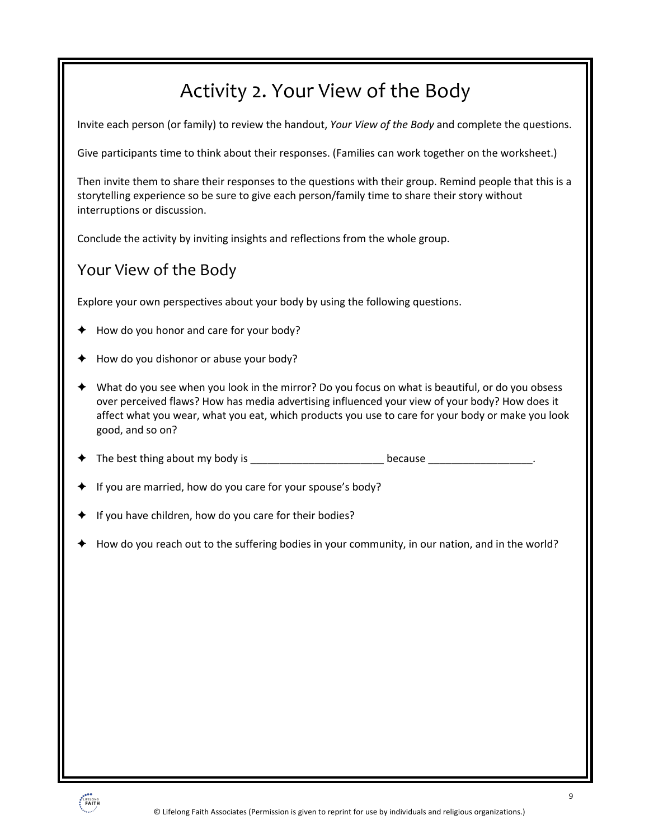# Activity 2. Your View of the Body

Invite each person (or family) to review the handout, *Your View of the Body* and complete the questions.

Give participants time to think about their responses. (Families can work together on the worksheet.)

Then invite them to share their responses to the questions with their group. Remind people that this is a storytelling experience so be sure to give each person/family time to share their story without interruptions or discussion.

Conclude the activity by inviting insights and reflections from the whole group.

## Your View of the Body

Explore your own perspectives about your body by using the following questions.

- How do you honor and care for your body?
- How do you dishonor or abuse your body?
- ! What do you see when you look in the mirror? Do you focus on what is beautiful, or do you obsess over perceived flaws? How has media advertising influenced your view of your body? How does it affect what you wear, what you eat, which products you use to care for your body or make you look good, and so on?
- ! The best thing about my body is \_\_\_\_\_\_\_\_\_\_\_\_\_\_\_\_\_\_\_\_\_\_\_ because \_\_\_\_\_\_\_\_\_\_\_\_\_\_\_\_\_\_.
- If you are married, how do you care for your spouse's body?
- If you have children, how do you care for their bodies?
- ! How do you reach out to the suffering bodies in your community, in our nation, and in the world?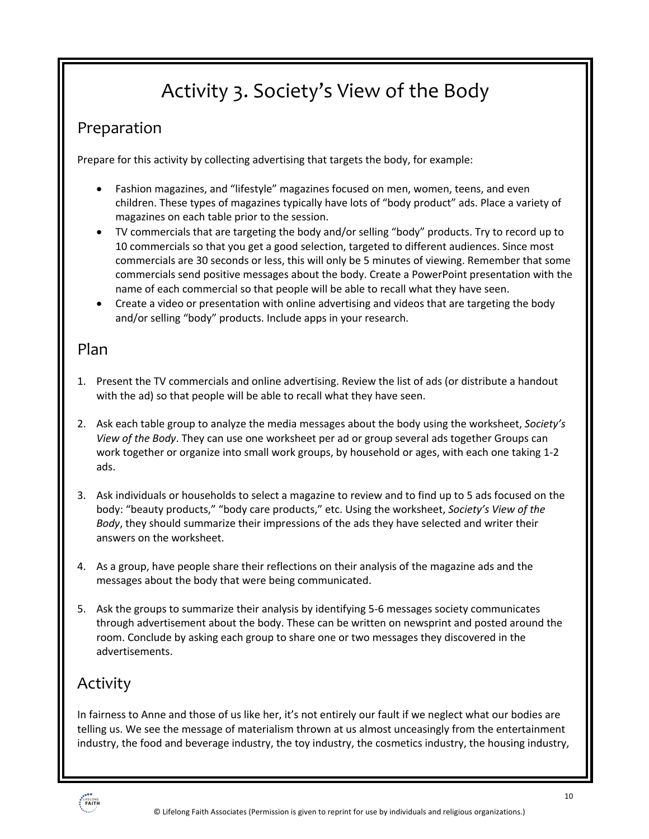# Activity 3. Society's View of the Body

## Preparation

Prepare for this activity by collecting advertising that targets the body, for example:

- Fashion magazines, and "lifestyle" magazines focused on men, women, teens, and even children. These types of magazines typically have lots of "body product" ads. Place a variety of magazines on each table prior to the session.
- TV commercials that are targeting the body and/or selling "body" products. Try to record up to 10 commercials so that you get a good selection, targeted to different audiences. Since most commercials are 30 seconds or less, this will only be 5 minutes of viewing. Remember that some commercials send positive messages about the body. Create a PowerPoint presentation with the name of each commercial so that people will be able to recall what they have seen.
- Create a video or presentation with online advertising and videos that are targeting the body and/or selling "body" products. Include apps in your research.

### Plan

- 1. Present the TV commercials and online advertising. Review the list of ads (or distribute a handout with the ad) so that people will be able to recall what they have seen.
- 2. Ask each table group to analyze the media messages about the body using the worksheet, *Society's View of the Body*. They can use one worksheet per ad or group several ads together Groups can work together or organize into small work groups, by household or ages, with each one taking 1-2 ads.
- 3. Ask individuals or households to select a magazine to review and to find up to 5 ads focused on the body: "beauty products," "body care products," etc. Using the worksheet, *Society's View of the Body*, they should summarize their impressions of the ads they have selected and writer their answers on the worksheet.
- 4. As a group, have people share their reflections on their analysis of the magazine ads and the messages about the body that were being communicated.
- 5. Ask the groups to summarize their analysis by identifying 5-6 messages society communicates through advertisement about the body. These can be written on newsprint and posted around the room. Conclude by asking each group to share one or two messages they discovered in the advertisements.

# Activity

In fairness to Anne and those of us like her, it's not entirely our fault if we neglect what our bodies are telling us. We see the message of materialism thrown at us almost unceasingly from the entertainment industry, the food and beverage industry, the toy industry, the cosmetics industry, the housing industry,

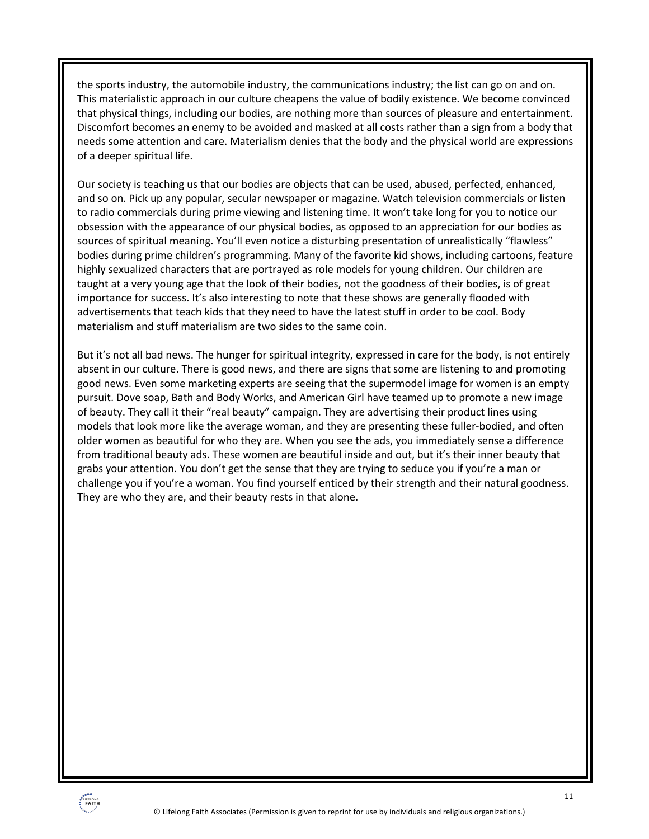the sports industry, the automobile industry, the communications industry; the list can go on and on. This materialistic approach in our culture cheapens the value of bodily existence. We become convinced that physical things, including our bodies, are nothing more than sources of pleasure and entertainment. Discomfort becomes an enemy to be avoided and masked at all costs rather than a sign from a body that needs some attention and care. Materialism denies that the body and the physical world are expressions of a deeper spiritual life.

Our society is teaching us that our bodies are objects that can be used, abused, perfected, enhanced, and so on. Pick up any popular, secular newspaper or magazine. Watch television commercials or listen to radio commercials during prime viewing and listening time. It won't take long for you to notice our obsession with the appearance of our physical bodies, as opposed to an appreciation for our bodies as sources of spiritual meaning. You'll even notice a disturbing presentation of unrealistically "flawless" bodies during prime children's programming. Many of the favorite kid shows, including cartoons, feature highly sexualized characters that are portrayed as role models for young children. Our children are taught at a very young age that the look of their bodies, not the goodness of their bodies, is of great importance for success. It's also interesting to note that these shows are generally flooded with advertisements that teach kids that they need to have the latest stuff in order to be cool. Body materialism and stuff materialism are two sides to the same coin.

But it's not all bad news. The hunger for spiritual integrity, expressed in care for the body, is not entirely absent in our culture. There is good news, and there are signs that some are listening to and promoting good news. Even some marketing experts are seeing that the supermodel image for women is an empty pursuit. Dove soap, Bath and Body Works, and American Girl have teamed up to promote a new image of beauty. They call it their "real beauty" campaign. They are advertising their product lines using models that look more like the average woman, and they are presenting these fuller-bodied, and often older women as beautiful for who they are. When you see the ads, you immediately sense a difference from traditional beauty ads. These women are beautiful inside and out, but it's their inner beauty that grabs your attention. You don't get the sense that they are trying to seduce you if you're a man or challenge you if you're a woman. You find yourself enticed by their strength and their natural goodness. They are who they are, and their beauty rests in that alone.

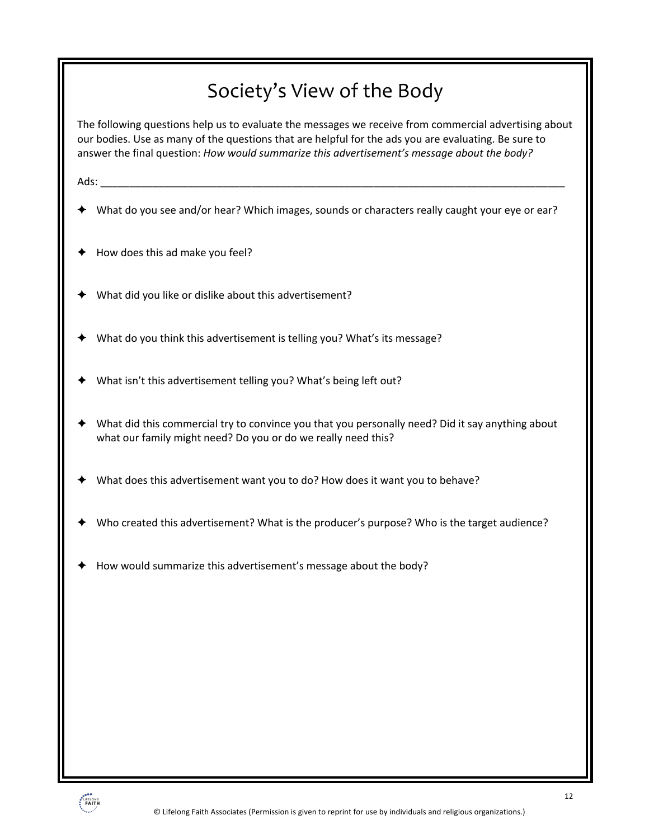# Society's View of the Body

The following questions help us to evaluate the messages we receive from commercial advertising about our bodies. Use as many of the questions that are helpful for the ads you are evaluating. Be sure to answer the final question: *How would summarize this advertisement's message about the body?*

Ads:

- ! What do you see and/or hear? Which images, sounds or characters really caught your eye or ear?
- How does this ad make you feel?
- ! What did you like or dislike about this advertisement?
- ! What do you think this advertisement is telling you? What's its message?
- What isn't this advertisement telling you? What's being left out?
- ! What did this commercial try to convince you that you personally need? Did it say anything about what our family might need? Do you or do we really need this?
- ! What does this advertisement want you to do? How does it want you to behave?
- ! Who created this advertisement? What is the producer's purpose? Who is the target audience?
- ! How would summarize this advertisement's message about the body?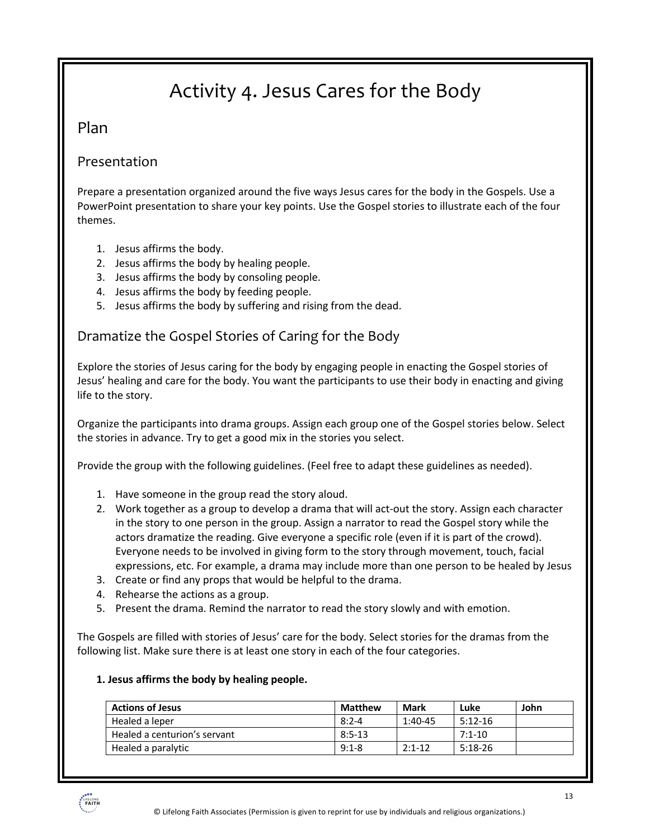# Activity 4. Jesus Cares for the Body

#### Plan

#### Presentation

Prepare a presentation organized around the five ways Jesus cares for the body in the Gospels. Use a PowerPoint presentation to share your key points. Use the Gospel stories to illustrate each of the four themes.

- 1. Jesus affirms the body.
- 2. Jesus affirms the body by healing people.
- 3. Jesus affirms the body by consoling people.
- 4. Jesus affirms the body by feeding people.
- 5. Jesus affirms the body by suffering and rising from the dead.

#### Dramatize the Gospel Stories of Caring for the Body

Explore the stories of Jesus caring for the body by engaging people in enacting the Gospel stories of Jesus' healing and care for the body. You want the participants to use their body in enacting and giving life to the story.

Organize the participants into drama groups. Assign each group one of the Gospel stories below. Select the stories in advance. Try to get a good mix in the stories you select.

Provide the group with the following guidelines. (Feel free to adapt these guidelines as needed).

- 1. Have someone in the group read the story aloud.
- 2. Work together as a group to develop a drama that will act-out the story. Assign each character in the story to one person in the group. Assign a narrator to read the Gospel story while the actors dramatize the reading. Give everyone a specific role (even if it is part of the crowd). Everyone needs to be involved in giving form to the story through movement, touch, facial expressions, etc. For example, a drama may include more than one person to be healed by Jesus
- 3. Create or find any props that would be helpful to the drama.
- 4. Rehearse the actions as a group.
- 5. Present the drama. Remind the narrator to read the story slowly and with emotion.

The Gospels are filled with stories of Jesus' care for the body. Select stories for the dramas from the following list. Make sure there is at least one story in each of the four categories.

#### **1. Jesus affirms the body by healing people.**

| <b>Actions of Jesus</b>      | Matthew   | Mark      | Luke      | John |
|------------------------------|-----------|-----------|-----------|------|
| Healed a leper               | $8:2 - 4$ | $1:40-45$ | $5:12-16$ |      |
| Healed a centurion's servant | $8:5-13$  |           | $7:1-10$  |      |
| Healed a paralytic           | $9:1 - 8$ | $2:1-12$  | $5:18-26$ |      |

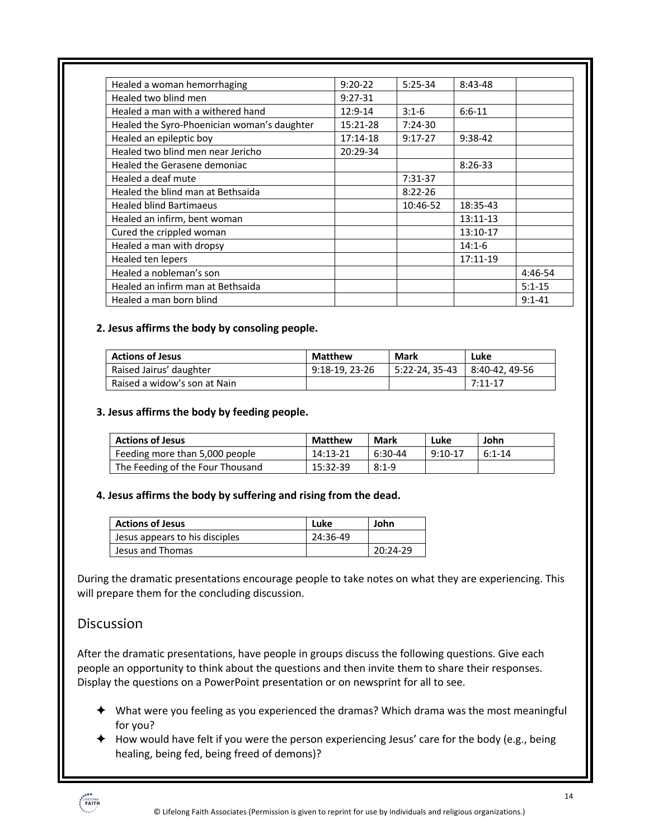| Healed a woman hemorrhaging                 | $9:20-22$  | $5:25-34$   | $8:43-48$ |            |
|---------------------------------------------|------------|-------------|-----------|------------|
| Healed two blind men                        | $9:27-31$  |             |           |            |
| Healed a man with a withered hand           | 12:9-14    | $3:1-6$     | $6:6-11$  |            |
| Healed the Syro-Phoenician woman's daughter | 15:21-28   | $7:24-30$   |           |            |
| Healed an epileptic boy                     | $17:14-18$ | $9:17-27$   | $9:38-42$ |            |
| Healed two blind men near Jericho           | 20:29-34   |             |           |            |
| Healed the Gerasene demoniac                |            |             | $8:26-33$ |            |
| Healed a deaf mute                          |            | $7:31-37$   |           |            |
| Healed the blind man at Bethsaida           |            | $8:22 - 26$ |           |            |
| <b>Healed blind Bartimaeus</b>              |            | 10:46-52    | 18:35-43  |            |
| Healed an infirm, bent woman                |            |             | 13:11-13  |            |
| Cured the crippled woman                    |            |             | 13:10-17  |            |
| Healed a man with dropsy                    |            |             | $14:1-6$  |            |
| Healed ten lepers                           |            |             | 17:11-19  |            |
| Healed a nobleman's son                     |            |             |           | 4:46-54    |
| Healed an infirm man at Bethsaida           |            |             |           | $5:1 - 15$ |
| Healed a man born blind                     |            |             |           | $9:1 - 41$ |

#### **2. Jesus affirms the body by consoling people.**

| <b>Actions of Jesus</b>      | <b>Matthew</b> | Mark             | Luke          |
|------------------------------|----------------|------------------|---------------|
| Raised Jairus' daughter      | 9:18-19.23-26  | 1 5:22-24. 35-43 | 8:40-42.49-56 |
| Raised a widow's son at Nain |                |                  | $7:11-17$     |

#### **3. Jesus affirms the body by feeding people.**

| <b>Actions of Jesus</b>          | <b>Matthew</b> | Mark    | Luke      | John     |
|----------------------------------|----------------|---------|-----------|----------|
| Feeding more than 5,000 people   | 14:13-21       | 6:30-44 | $9:10-17$ | $6:1-14$ |
| The Feeding of the Four Thousand | 15:32-39       | $8:1-9$ |           |          |

#### **4. Jesus affirms the body by suffering and rising from the dead.**

| <b>Actions of Jesus</b>        | Luke     | John       |
|--------------------------------|----------|------------|
| Jesus appears to his disciples | 24:36-49 |            |
| Jesus and Thomas               |          | $20:24-29$ |

During the dramatic presentations encourage people to take notes on what they are experiencing. This will prepare them for the concluding discussion.

#### Discussion

After the dramatic presentations, have people in groups discuss the following questions. Give each people an opportunity to think about the questions and then invite them to share their responses. Display the questions on a PowerPoint presentation or on newsprint for all to see.

- $\blacklozenge$  What were you feeling as you experienced the dramas? Which drama was the most meaningful for you?
- $\blacklozenge$  How would have felt if you were the person experiencing Jesus' care for the body (e.g., being healing, being fed, being freed of demons)?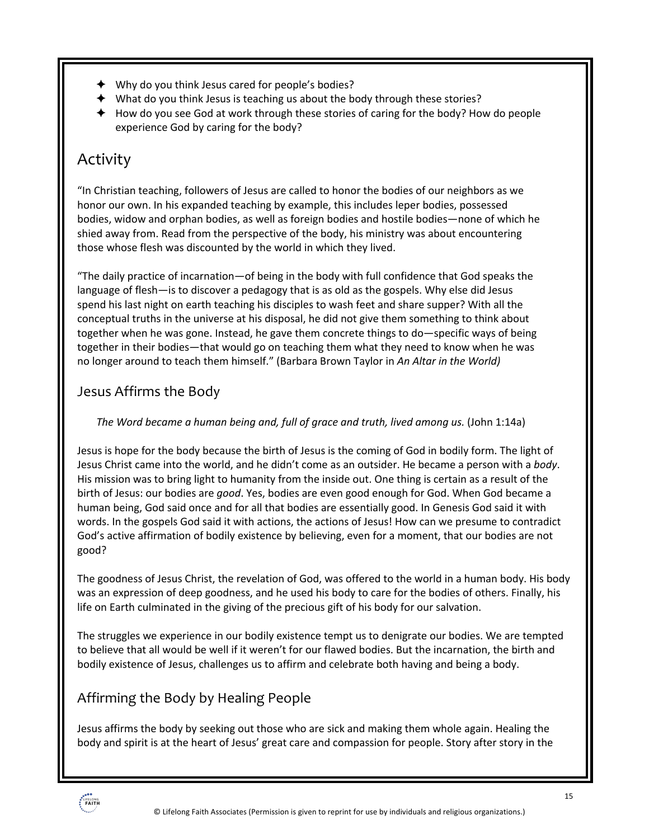- $\triangleleft$  Why do you think Jesus cared for people's bodies?
- $\blacklozenge$  What do you think Jesus is teaching us about the body through these stories?
- $\triangleq$  How do you see God at work through these stories of caring for the body? How do people experience God by caring for the body?

## Activity

"In Christian teaching, followers of Jesus are called to honor the bodies of our neighbors as we honor our own. In his expanded teaching by example, this includes leper bodies, possessed bodies, widow and orphan bodies, as well as foreign bodies and hostile bodies—none of which he shied away from. Read from the perspective of the body, his ministry was about encountering those whose flesh was discounted by the world in which they lived.

"The daily practice of incarnation—of being in the body with full confidence that God speaks the language of flesh—is to discover a pedagogy that is as old as the gospels. Why else did Jesus spend his last night on earth teaching his disciples to wash feet and share supper? With all the conceptual truths in the universe at his disposal, he did not give them something to think about together when he was gone. Instead, he gave them concrete things to do—specific ways of being together in their bodies—that would go on teaching them what they need to know when he was no longer around to teach them himself." (Barbara Brown Taylor in *An Altar in the World)*

## Jesus Affirms the Body

#### *The Word became a human being and, full of grace and truth, lived among us.* (John 1:14a)

Jesus is hope for the body because the birth of Jesus is the coming of God in bodily form. The light of Jesus Christ came into the world, and he didn't come as an outsider. He became a person with a *body*. His mission was to bring light to humanity from the inside out. One thing is certain as a result of the birth of Jesus: our bodies are *good*. Yes, bodies are even good enough for God. When God became a human being, God said once and for all that bodies are essentially good. In Genesis God said it with words. In the gospels God said it with actions, the actions of Jesus! How can we presume to contradict God's active affirmation of bodily existence by believing, even for a moment, that our bodies are not good?

The goodness of Jesus Christ, the revelation of God, was offered to the world in a human body. His body was an expression of deep goodness, and he used his body to care for the bodies of others. Finally, his life on Earth culminated in the giving of the precious gift of his body for our salvation.

The struggles we experience in our bodily existence tempt us to denigrate our bodies. We are tempted to believe that all would be well if it weren't for our flawed bodies. But the incarnation, the birth and bodily existence of Jesus, challenges us to affirm and celebrate both having and being a body.

## Affirming the Body by Healing People

Jesus affirms the body by seeking out those who are sick and making them whole again. Healing the body and spirit is at the heart of Jesus' great care and compassion for people. Story after story in the

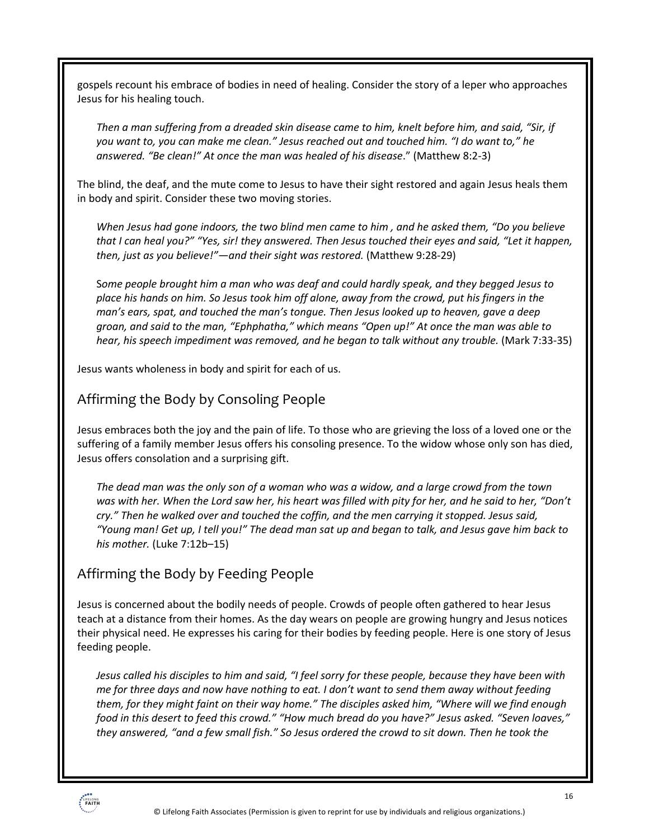gospels recount his embrace of bodies in need of healing. Consider the story of a leper who approaches Jesus for his healing touch.

*Then a man suffering from a dreaded skin disease came to him, knelt before him, and said, "Sir, if you want to, you can make me clean." Jesus reached out and touched him. "I do want to," he answered. "Be clean!" At once the man was healed of his disease*." (Matthew 8:2-3)

The blind, the deaf, and the mute come to Jesus to have their sight restored and again Jesus heals them in body and spirit. Consider these two moving stories.

*When Jesus had gone indoors, the two blind men came to him , and he asked them, "Do you believe that I can heal you?" "Yes, sir! they answered. Then Jesus touched their eyes and said, "Let it happen, then, just as you believe!"—and their sight was restored.* (Matthew 9:28-29)

S*ome people brought him a man who was deaf and could hardly speak, and they begged Jesus to place his hands on him. So Jesus took him off alone, away from the crowd, put his fingers in the man's ears, spat, and touched the man's tongue. Then Jesus looked up to heaven, gave a deep groan, and said to the man, "Ephphatha," which means "Open up!" At once the man was able to hear, his speech impediment was removed, and he began to talk without any trouble.* (Mark 7:33-35)

Jesus wants wholeness in body and spirit for each of us.

#### Affirming the Body by Consoling People

Jesus embraces both the joy and the pain of life. To those who are grieving the loss of a loved one or the suffering of a family member Jesus offers his consoling presence. To the widow whose only son has died, Jesus offers consolation and a surprising gift.

*The dead man was the only son of a woman who was a widow, and a large crowd from the town was with her. When the Lord saw her, his heart was filled with pity for her, and he said to her, "Don't cry." Then he walked over and touched the coffin, and the men carrying it stopped. Jesus said, "Young man! Get up, I tell you!" The dead man sat up and began to talk, and Jesus gave him back to his mother.* (Luke 7:12b–15)

### Affirming the Body by Feeding People

Jesus is concerned about the bodily needs of people. Crowds of people often gathered to hear Jesus teach at a distance from their homes. As the day wears on people are growing hungry and Jesus notices their physical need. He expresses his caring for their bodies by feeding people. Here is one story of Jesus feeding people.

*Jesus called his disciples to him and said, "I feel sorry for these people, because they have been with me for three days and now have nothing to eat. I don't want to send them away without feeding them, for they might faint on their way home." The disciples asked him, "Where will we find enough food in this desert to feed this crowd." "How much bread do you have?" Jesus asked. "Seven loaves," they answered, "and a few small fish." So Jesus ordered the crowd to sit down. Then he took the* 

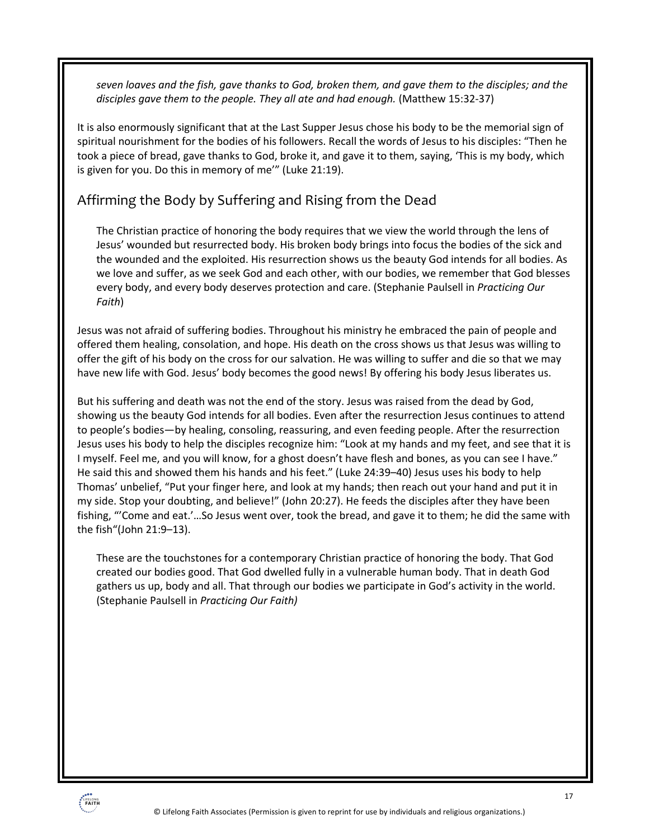*seven loaves and the fish, gave thanks to God, broken them, and gave them to the disciples; and the disciples gave them to the people. They all ate and had enough.* (Matthew 15:32-37)

It is also enormously significant that at the Last Supper Jesus chose his body to be the memorial sign of spiritual nourishment for the bodies of his followers. Recall the words of Jesus to his disciples: "Then he took a piece of bread, gave thanks to God, broke it, and gave it to them, saying, 'This is my body, which is given for you. Do this in memory of me'" (Luke 21:19).

### Affirming the Body by Suffering and Rising from the Dead

The Christian practice of honoring the body requires that we view the world through the lens of Jesus' wounded but resurrected body. His broken body brings into focus the bodies of the sick and the wounded and the exploited. His resurrection shows us the beauty God intends for all bodies. As we love and suffer, as we seek God and each other, with our bodies, we remember that God blesses every body, and every body deserves protection and care. (Stephanie Paulsell in *Practicing Our Faith*)

Jesus was not afraid of suffering bodies. Throughout his ministry he embraced the pain of people and offered them healing, consolation, and hope. His death on the cross shows us that Jesus was willing to offer the gift of his body on the cross for our salvation. He was willing to suffer and die so that we may have new life with God. Jesus' body becomes the good news! By offering his body Jesus liberates us.

But his suffering and death was not the end of the story. Jesus was raised from the dead by God, showing us the beauty God intends for all bodies. Even after the resurrection Jesus continues to attend to people's bodies—by healing, consoling, reassuring, and even feeding people. After the resurrection Jesus uses his body to help the disciples recognize him: "Look at my hands and my feet, and see that it is I myself. Feel me, and you will know, for a ghost doesn't have flesh and bones, as you can see I have." He said this and showed them his hands and his feet." (Luke 24:39–40) Jesus uses his body to help Thomas' unbelief, "Put your finger here, and look at my hands; then reach out your hand and put it in my side. Stop your doubting, and believe!" (John 20:27). He feeds the disciples after they have been fishing, "'Come and eat.'…So Jesus went over, took the bread, and gave it to them; he did the same with the fish"(John 21:9–13).

These are the touchstones for a contemporary Christian practice of honoring the body. That God created our bodies good. That God dwelled fully in a vulnerable human body. That in death God gathers us up, body and all. That through our bodies we participate in God's activity in the world. (Stephanie Paulsell in *Practicing Our Faith)*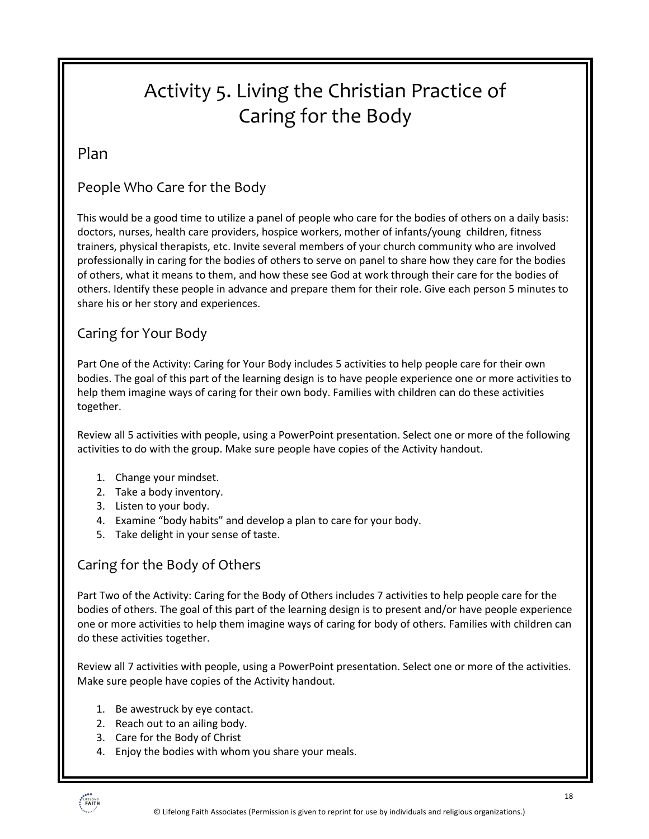# Activity 5. Living the Christian Practice of Caring for the Body

### Plan

## People Who Care for the Body

This would be a good time to utilize a panel of people who care for the bodies of others on a daily basis: doctors, nurses, health care providers, hospice workers, mother of infants/young children, fitness trainers, physical therapists, etc. Invite several members of your church community who are involved professionally in caring for the bodies of others to serve on panel to share how they care for the bodies of others, what it means to them, and how these see God at work through their care for the bodies of others. Identify these people in advance and prepare them for their role. Give each person 5 minutes to share his or her story and experiences.

### Caring for Your Body

Part One of the Activity: Caring for Your Body includes 5 activities to help people care for their own bodies. The goal of this part of the learning design is to have people experience one or more activities to help them imagine ways of caring for their own body. Families with children can do these activities together.

Review all 5 activities with people, using a PowerPoint presentation. Select one or more of the following activities to do with the group. Make sure people have copies of the Activity handout.

- 1. Change your mindset.
- 2. Take a body inventory.
- 3. Listen to your body.
- 4. Examine "body habits" and develop a plan to care for your body.
- 5. Take delight in your sense of taste.

## Caring for the Body of Others

Part Two of the Activity: Caring for the Body of Others includes 7 activities to help people care for the bodies of others. The goal of this part of the learning design is to present and/or have people experience one or more activities to help them imagine ways of caring for body of others. Families with children can do these activities together.

Review all 7 activities with people, using a PowerPoint presentation. Select one or more of the activities. Make sure people have copies of the Activity handout.

- 1. Be awestruck by eye contact.
- 2. Reach out to an ailing body.
- 3. Care for the Body of Christ
- 4. Enjoy the bodies with whom you share your meals.

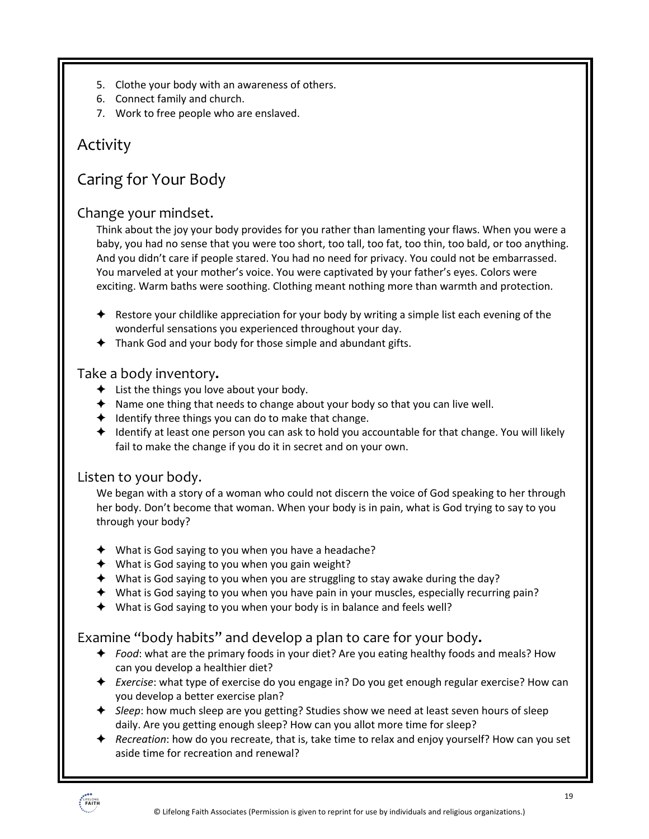- 5. Clothe your body with an awareness of others.
- 6. Connect family and church.
- 7. Work to free people who are enslaved.

## Activity

# Caring for Your Body

#### Change your mindset.

Think about the joy your body provides for you rather than lamenting your flaws. When you were a baby, you had no sense that you were too short, too tall, too fat, too thin, too bald, or too anything. And you didn't care if people stared. You had no need for privacy. You could not be embarrassed. You marveled at your mother's voice. You were captivated by your father's eyes. Colors were exciting. Warm baths were soothing. Clothing meant nothing more than warmth and protection.

- $\triangle$  Restore your childlike appreciation for your body by writing a simple list each evening of the wonderful sensations you experienced throughout your day.
- $\triangleq$  Thank God and your body for those simple and abundant gifts.

#### Take a body inventory**.**

- $\triangleleft$  List the things you love about your body.
- $\triangle$  Name one thing that needs to change about your body so that you can live well.
- $\triangleleft$  Identify three things you can do to make that change.
- $\triangle$  Identify at least one person you can ask to hold you accountable for that change. You will likely fail to make the change if you do it in secret and on your own.

### Listen to your body.

We began with a story of a woman who could not discern the voice of God speaking to her through her body. Don't become that woman. When your body is in pain, what is God trying to say to you through your body?

- $\blacklozenge$  What is God saying to you when you have a headache?
- $\blacklozenge$  What is God saying to you when you gain weight?
- $\blacklozenge$  What is God saying to you when you are struggling to stay awake during the day?
- $\blacklozenge$  What is God saying to you when you have pain in your muscles, especially recurring pain?
- $\blacklozenge$  What is God saying to you when your body is in balance and feels well?

### Examine "body habits" and develop a plan to care for your body**.**

- ! *Food*: what are the primary foods in your diet? Are you eating healthy foods and meals? How can you develop a healthier diet?
- **★** *Exercise*: what type of exercise do you engage in? Do you get enough regular exercise? How can you develop a better exercise plan?
- **→** *Sleep*: how much sleep are you getting? Studies show we need at least seven hours of sleep daily. Are you getting enough sleep? How can you allot more time for sleep?
- ! *Recreation*: how do you recreate, that is, take time to relax and enjoy yourself? How can you set aside time for recreation and renewal?

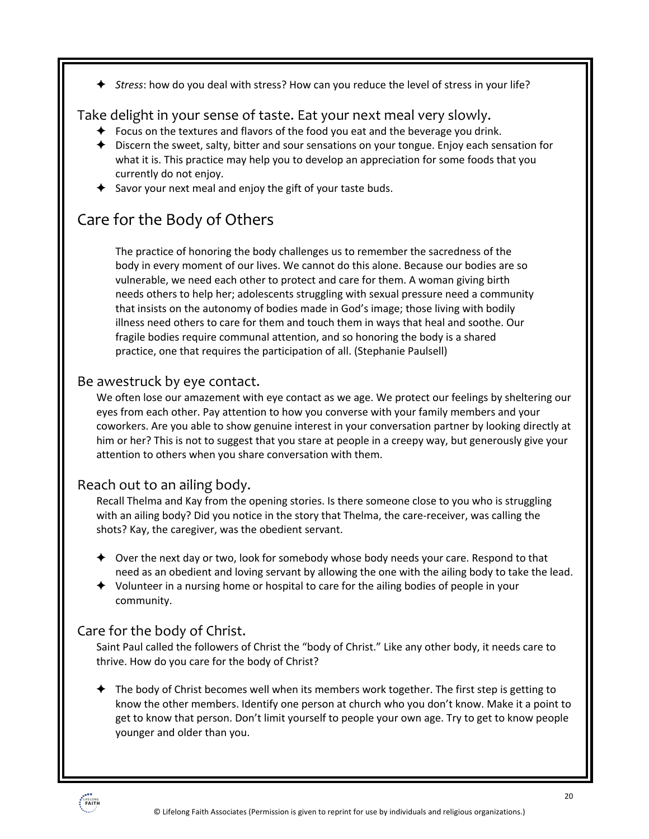! *Stress*: how do you deal with stress? How can you reduce the level of stress in your life?

#### Take delight in your sense of taste. Eat your next meal very slowly.

- $\triangleq$  Focus on the textures and flavors of the food you eat and the beverage you drink.
- $\triangleq$  Discern the sweet, salty, bitter and sour sensations on your tongue. Enjoy each sensation for what it is. This practice may help you to develop an appreciation for some foods that you currently do not enjoy.
- $\blacklozenge$  Savor your next meal and enjoy the gift of your taste buds.

# Care for the Body of Others

The practice of honoring the body challenges us to remember the sacredness of the body in every moment of our lives. We cannot do this alone. Because our bodies are so vulnerable, we need each other to protect and care for them. A woman giving birth needs others to help her; adolescents struggling with sexual pressure need a community that insists on the autonomy of bodies made in God's image; those living with bodily illness need others to care for them and touch them in ways that heal and soothe. Our fragile bodies require communal attention, and so honoring the body is a shared practice, one that requires the participation of all. (Stephanie Paulsell)

#### Be awestruck by eye contact.

We often lose our amazement with eye contact as we age. We protect our feelings by sheltering our eyes from each other. Pay attention to how you converse with your family members and your coworkers. Are you able to show genuine interest in your conversation partner by looking directly at him or her? This is not to suggest that you stare at people in a creepy way, but generously give your attention to others when you share conversation with them.

#### Reach out to an ailing body.

Recall Thelma and Kay from the opening stories. Is there someone close to you who is struggling with an ailing body? Did you notice in the story that Thelma, the care-receiver, was calling the shots? Kay, the caregiver, was the obedient servant.

- $\triangleq$  Over the next day or two, look for somebody whose body needs your care. Respond to that need as an obedient and loving servant by allowing the one with the ailing body to take the lead.
- $\blacklozenge$  Volunteer in a nursing home or hospital to care for the ailing bodies of people in your community.

#### Care for the body of Christ.

Saint Paul called the followers of Christ the "body of Christ." Like any other body, it needs care to thrive. How do you care for the body of Christ?

 $\triangle$  The body of Christ becomes well when its members work together. The first step is getting to know the other members. Identify one person at church who you don't know. Make it a point to get to know that person. Don't limit yourself to people your own age. Try to get to know people younger and older than you.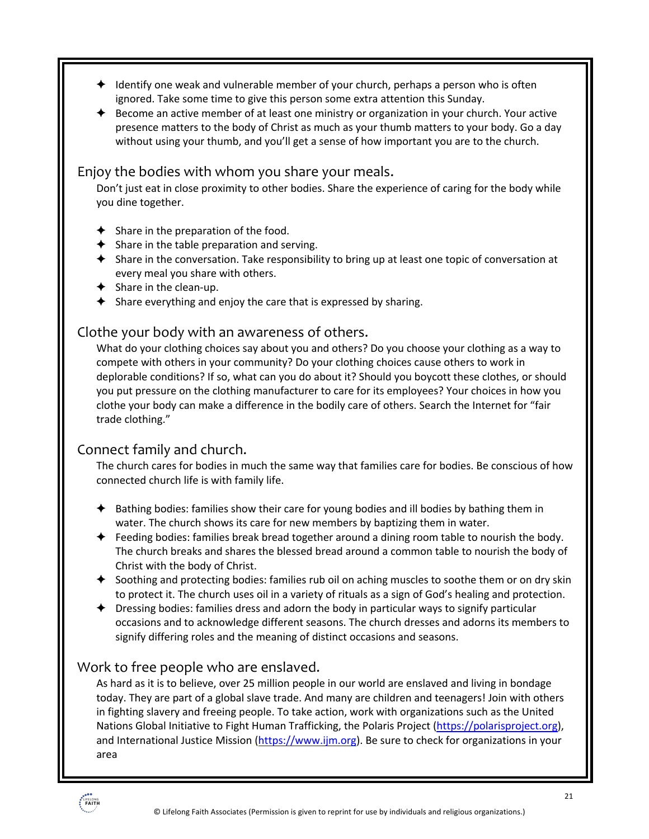- $\triangleq$  Identify one weak and vulnerable member of your church, perhaps a person who is often ignored. Take some time to give this person some extra attention this Sunday.
- $\triangle$  Become an active member of at least one ministry or organization in your church. Your active presence matters to the body of Christ as much as your thumb matters to your body. Go a day without using your thumb, and you'll get a sense of how important you are to the church.

#### Enjoy the bodies with whom you share your meals.

Don't just eat in close proximity to other bodies. Share the experience of caring for the body while you dine together.

- $\triangleleft$  Share in the preparation of the food.
- $\blacktriangleright$  Share in the table preparation and serving.
- $\triangleq$  Share in the conversation. Take responsibility to bring up at least one topic of conversation at every meal you share with others.
- $\triangleleft$  Share in the clean-up.
- $\blacklozenge$  Share everything and enjoy the care that is expressed by sharing.

#### Clothe your body with an awareness of others.

What do your clothing choices say about you and others? Do you choose your clothing as a way to compete with others in your community? Do your clothing choices cause others to work in deplorable conditions? If so, what can you do about it? Should you boycott these clothes, or should you put pressure on the clothing manufacturer to care for its employees? Your choices in how you clothe your body can make a difference in the bodily care of others. Search the Internet for "fair trade clothing."

### Connect family and church.

The church cares for bodies in much the same way that families care for bodies. Be conscious of how connected church life is with family life.

- $\triangleq$  Bathing bodies: families show their care for young bodies and ill bodies by bathing them in water. The church shows its care for new members by baptizing them in water.
- $\triangleq$  Feeding bodies: families break bread together around a dining room table to nourish the body. The church breaks and shares the blessed bread around a common table to nourish the body of Christ with the body of Christ.
- ◆ Soothing and protecting bodies: families rub oil on aching muscles to soothe them or on dry skin to protect it. The church uses oil in a variety of rituals as a sign of God's healing and protection.
- $\triangle$  Dressing bodies: families dress and adorn the body in particular ways to signify particular occasions and to acknowledge different seasons. The church dresses and adorns its members to signify differing roles and the meaning of distinct occasions and seasons.

#### Work to free people who are enslaved.

As hard as it is to believe, over 25 million people in our world are enslaved and living in bondage today. They are part of a global slave trade. And many are children and teenagers! Join with others in fighting slavery and freeing people. To take action, work with organizations such as the United Nations Global Initiative to Fight Human Trafficking, the Polaris Project (https://polarisproject.org), and International Justice Mission (https://www.ijm.org). Be sure to check for organizations in your area

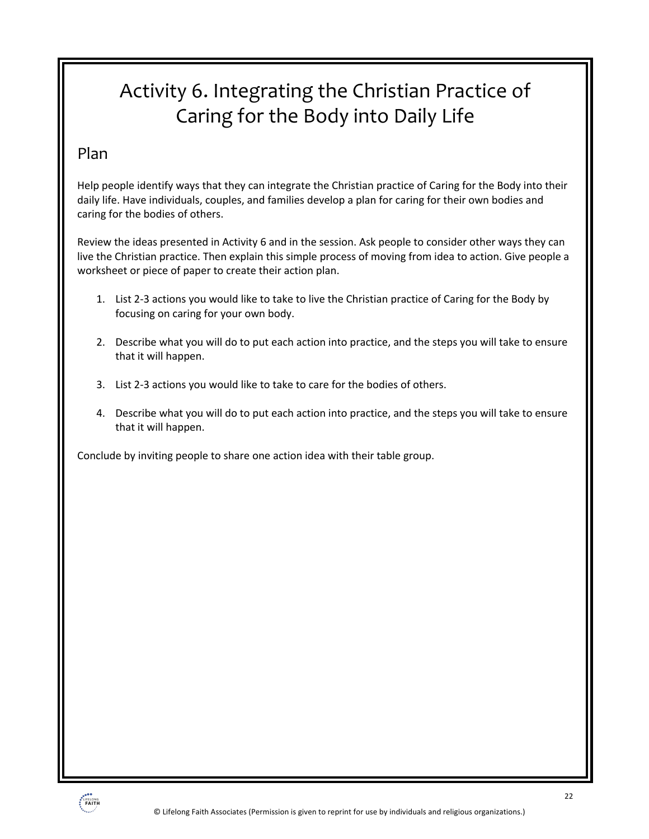# Activity 6. Integrating the Christian Practice of Caring for the Body into Daily Life

## Plan

Help people identify ways that they can integrate the Christian practice of Caring for the Body into their daily life. Have individuals, couples, and families develop a plan for caring for their own bodies and caring for the bodies of others.

Review the ideas presented in Activity 6 and in the session. Ask people to consider other ways they can live the Christian practice. Then explain this simple process of moving from idea to action. Give people a worksheet or piece of paper to create their action plan.

- 1. List 2-3 actions you would like to take to live the Christian practice of Caring for the Body by focusing on caring for your own body.
- 2. Describe what you will do to put each action into practice, and the steps you will take to ensure that it will happen.
- 3. List 2-3 actions you would like to take to care for the bodies of others.
- 4. Describe what you will do to put each action into practice, and the steps you will take to ensure that it will happen.

Conclude by inviting people to share one action idea with their table group.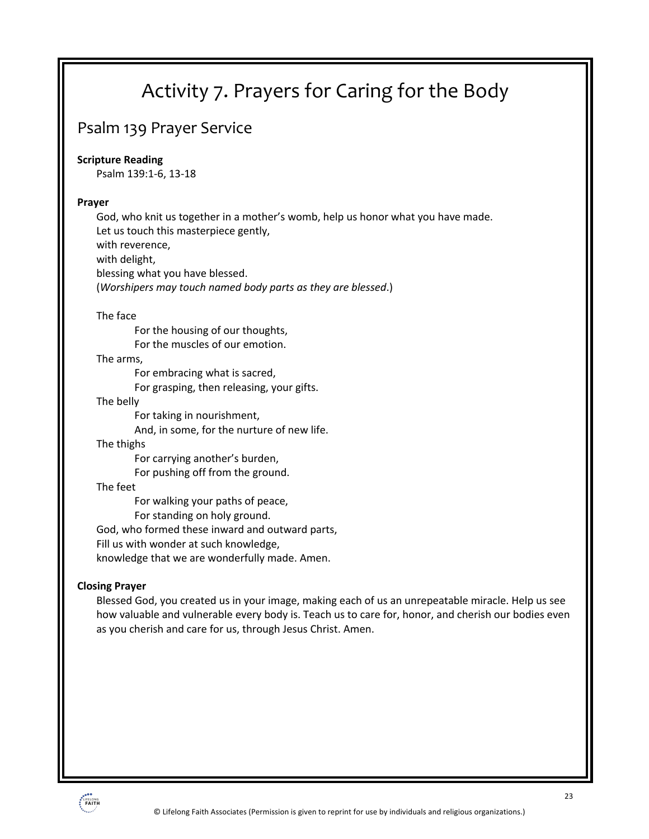# Activity 7. Prayers for Caring for the Body

## Psalm 139 Prayer Service

#### **Scripture Reading**

Psalm 139:1-6, 13-18

#### **Prayer**

God, who knit us together in a mother's womb, help us honor what you have made. Let us touch this masterpiece gently, with reverence, with delight, blessing what you have blessed. (*Worshipers may touch named body parts as they are blessed*.)

#### The face

For the housing of our thoughts, For the muscles of our emotion.

#### The arms,

For embracing what is sacred,

For grasping, then releasing, your gifts.

#### The belly

For taking in nourishment,

And, in some, for the nurture of new life.

#### The thighs

For carrying another's burden,

For pushing off from the ground.

#### The feet

For walking your paths of peace,

For standing on holy ground.

God, who formed these inward and outward parts,

Fill us with wonder at such knowledge,

knowledge that we are wonderfully made. Amen.

#### **Closing Prayer**

Blessed God, you created us in your image, making each of us an unrepeatable miracle. Help us see how valuable and vulnerable every body is. Teach us to care for, honor, and cherish our bodies even as you cherish and care for us, through Jesus Christ. Amen.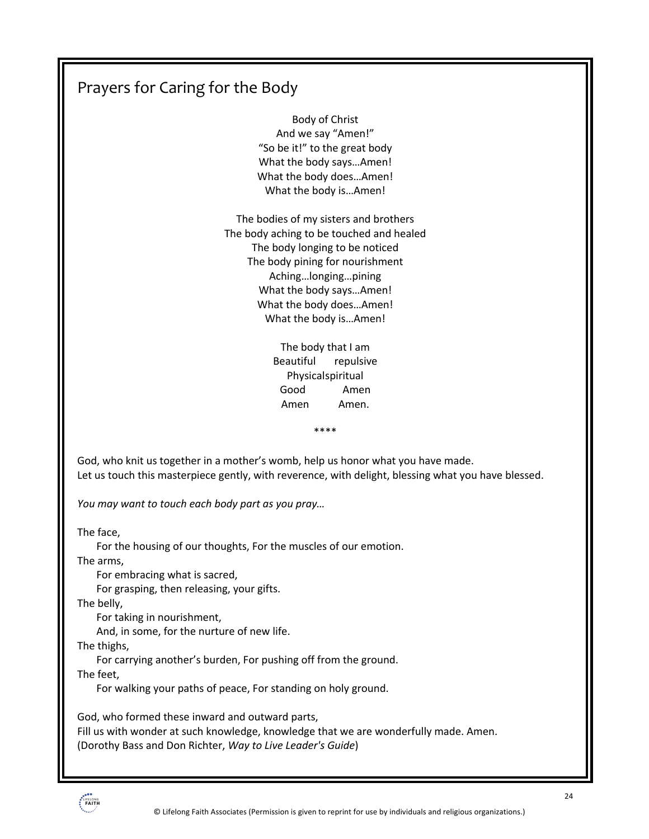# Prayers for Caring for the Body

Body of Christ And we say "Amen!" "So be it!" to the great body What the body says…Amen! What the body does…Amen! What the body is…Amen!

The bodies of my sisters and brothers The body aching to be touched and healed The body longing to be noticed The body pining for nourishment Aching…longing…pining What the body says…Amen! What the body does…Amen! What the body is…Amen!

> The body that I am Beautiful repulsive Physicalspiritual Good Amen Amen Amen.

> > \*\*\*\*

God, who knit us together in a mother's womb, help us honor what you have made. Let us touch this masterpiece gently, with reverence, with delight, blessing what you have blessed.

*You may want to touch each body part as you pray…*

The face,

For the housing of our thoughts, For the muscles of our emotion.

The arms,

For embracing what is sacred,

For grasping, then releasing, your gifts.

The belly,

For taking in nourishment,

And, in some, for the nurture of new life.

The thighs,

For carrying another's burden, For pushing off from the ground.

The feet,

For walking your paths of peace, For standing on holy ground.

God, who formed these inward and outward parts,

Fill us with wonder at such knowledge, knowledge that we are wonderfully made. Amen. (Dorothy Bass and Don Richter, *Way to Live Leader's Guide*)

**IFELONO**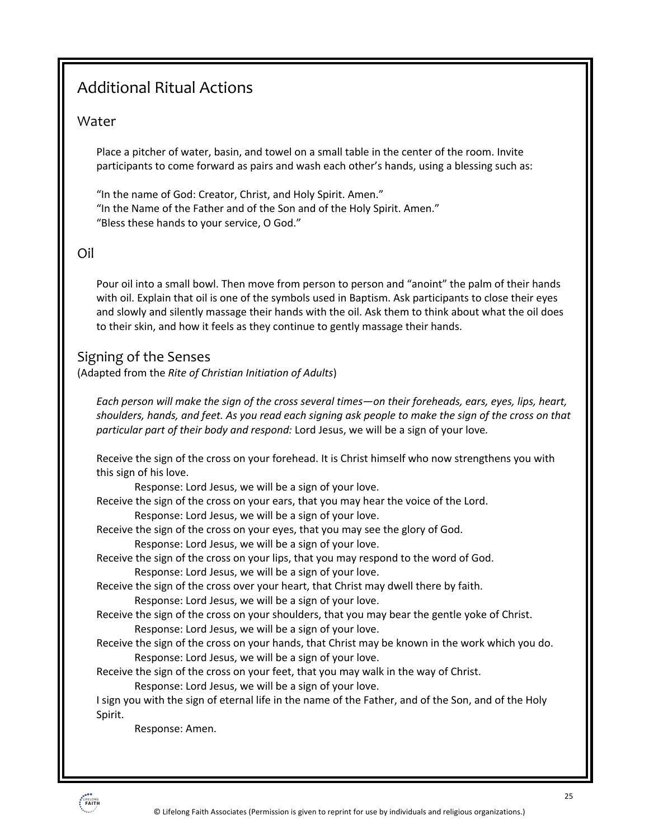# Additional Ritual Actions

#### Water

Place a pitcher of water, basin, and towel on a small table in the center of the room. Invite participants to come forward as pairs and wash each other's hands, using a blessing such as:

"In the name of God: Creator, Christ, and Holy Spirit. Amen." "In the Name of the Father and of the Son and of the Holy Spirit. Amen." "Bless these hands to your service, O God."

#### Oil

Pour oil into a small bowl. Then move from person to person and "anoint" the palm of their hands with oil. Explain that oil is one of the symbols used in Baptism. Ask participants to close their eyes and slowly and silently massage their hands with the oil. Ask them to think about what the oil does to their skin, and how it feels as they continue to gently massage their hands.

### Signing of the Senses

(Adapted from the *Rite of Christian Initiation of Adults*)

*Each person will make the sign of the cross several times—on their foreheads, ears, eyes, lips, heart, shoulders, hands, and feet. As you read each signing ask people to make the sign of the cross on that particular part of their body and respond:* Lord Jesus, we will be a sign of your love*.* 

Receive the sign of the cross on your forehead. It is Christ himself who now strengthens you with this sign of his love.

Response: Lord Jesus, we will be a sign of your love.

Receive the sign of the cross on your ears, that you may hear the voice of the Lord. Response: Lord Jesus, we will be a sign of your love.

Receive the sign of the cross on your eyes, that you may see the glory of God.

Response: Lord Jesus, we will be a sign of your love.

Receive the sign of the cross on your lips, that you may respond to the word of God. Response: Lord Jesus, we will be a sign of your love.

Receive the sign of the cross over your heart, that Christ may dwell there by faith. Response: Lord Jesus, we will be a sign of your love.

Receive the sign of the cross on your shoulders, that you may bear the gentle yoke of Christ. Response: Lord Jesus, we will be a sign of your love.

Receive the sign of the cross on your hands, that Christ may be known in the work which you do. Response: Lord Jesus, we will be a sign of your love.

Receive the sign of the cross on your feet, that you may walk in the way of Christ.

Response: Lord Jesus, we will be a sign of your love.

I sign you with the sign of eternal life in the name of the Father, and of the Son, and of the Holy Spirit.

Response: Amen.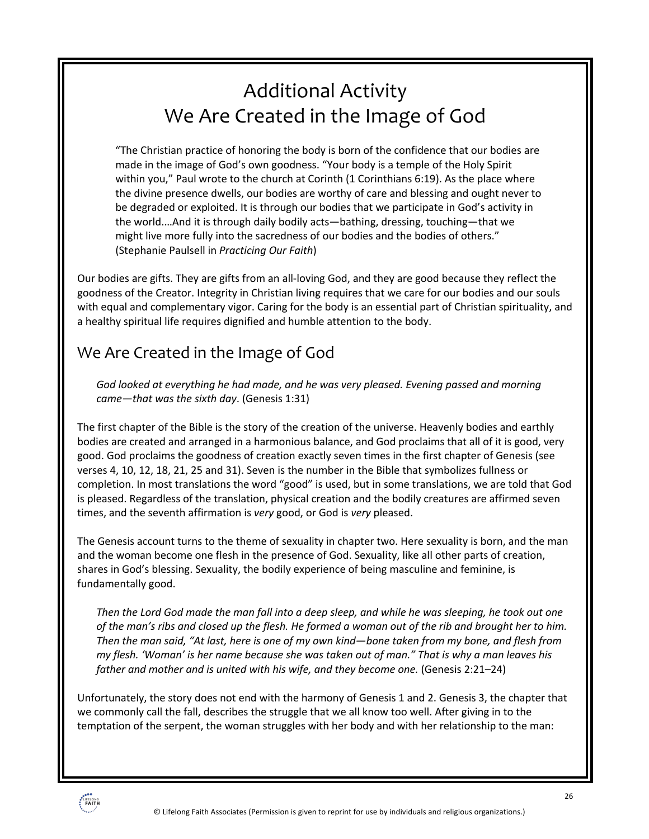# Additional Activity We Are Created in the Image of God

"The Christian practice of honoring the body is born of the confidence that our bodies are made in the image of God's own goodness. "Your body is a temple of the Holy Spirit within you," Paul wrote to the church at Corinth (1 Corinthians 6:19). As the place where the divine presence dwells, our bodies are worthy of care and blessing and ought never to be degraded or exploited. It is through our bodies that we participate in God's activity in the world.…And it is through daily bodily acts—bathing, dressing, touching—that we might live more fully into the sacredness of our bodies and the bodies of others." (Stephanie Paulsell in *Practicing Our Faith*)

Our bodies are gifts. They are gifts from an all-loving God, and they are good because they reflect the goodness of the Creator. Integrity in Christian living requires that we care for our bodies and our souls with equal and complementary vigor. Caring for the body is an essential part of Christian spirituality, and a healthy spiritual life requires dignified and humble attention to the body.

# We Are Created in the Image of God

*God looked at everything he had made, and he was very pleased. Evening passed and morning came—that was the sixth day*. (Genesis 1:31)

The first chapter of the Bible is the story of the creation of the universe. Heavenly bodies and earthly bodies are created and arranged in a harmonious balance, and God proclaims that all of it is good, very good. God proclaims the goodness of creation exactly seven times in the first chapter of Genesis (see verses 4, 10, 12, 18, 21, 25 and 31). Seven is the number in the Bible that symbolizes fullness or completion. In most translations the word "good" is used, but in some translations, we are told that God is pleased. Regardless of the translation, physical creation and the bodily creatures are affirmed seven times, and the seventh affirmation is *very* good, or God is *very* pleased.

The Genesis account turns to the theme of sexuality in chapter two. Here sexuality is born, and the man and the woman become one flesh in the presence of God. Sexuality, like all other parts of creation, shares in God's blessing. Sexuality, the bodily experience of being masculine and feminine, is fundamentally good.

*Then the Lord God made the man fall into a deep sleep, and while he was sleeping, he took out one of the man's ribs and closed up the flesh. He formed a woman out of the rib and brought her to him. Then the man said, "At last, here is one of my own kind—bone taken from my bone, and flesh from my flesh. 'Woman' is her name because she was taken out of man." That is why a man leaves his father and mother and is united with his wife, and they become one.* (Genesis 2:21–24)

Unfortunately, the story does not end with the harmony of Genesis 1 and 2. Genesis 3, the chapter that we commonly call the fall, describes the struggle that we all know too well. After giving in to the temptation of the serpent, the woman struggles with her body and with her relationship to the man: